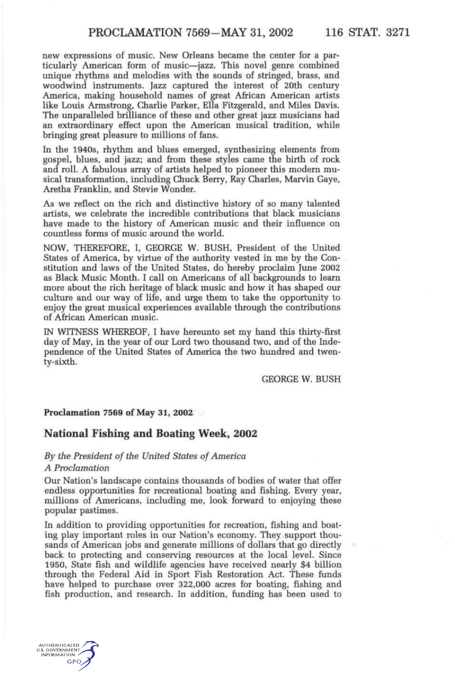new expressions of music. New Orleans became the center for a particularly American form of music—jazz. This novel genre combined unique rhythms and melodies with the sounds of stringed, brass, and woodwind instruments. Jazz captured the interest of 20th century America, making household names of great African American artists like Louis Armstrong, Charlie Parker, Ella Fitzgerald, and Miles Davis. The unparalleled brilliance of these and other great jazz musicians had an extraordinary effect upon the American musical tradition, while bringing great pleasure to millions of fans.

In the 1940s, rhythm and blues emerged, synthesizing elements from gospel, blues, and jazz; and from these styles came the birth of rock and roll. A fabulous array of artists helped to pioneer this modern musical transformation, including Chuck Berry, Ray Charles, Marvin Gaye, Aretha Franklin, and Stevie Wonder.

As we reflect on the rich and distinctive history of so many talented artists, we celebrate the incredible contributions that black musicians have made to the history of American music and their influence on countless forms of music around the world.

NOW, THEREFORE, I, GEORGE W. BUSH, President of the United States of America, by virtue of the authority vested in me by the Constitution and laws of the United States, do hereby proclaim June 2002 as Black Music Month. I call on Americans of all backgrounds to learn more about the rich heritage of black music and how it has shaped our culture and our way of life, and urge them to take the opportunity to enjoy the great musical experiences available through the contributions of African American music.

IN WITNESS WHEREOF, I have hereunto set my hand this thirty-first day of May, in the year of our Lord two thousand two, and of the Independence of the United States of America the two hundred and twenty-sixth.

GEORGE W. BUSH

#### **Proclamation 7569 of May 31, 2002**

## **National Fishing and Boating Week, 2002**

# *By the President of the United States of America*

## *A Proclamation*

Our Nation's landscape contains thousands of bodies of water that offer endless opportunities for recreational boating and fishing. Every year, millions of Americans, including me, look forward to enjoying these popular pastimes.

In addition to providing opportunities for recreation, fishing and boating play important roles in our Nation's economy. They support thousands of American jobs and generate millions of dollars that go directly back to protecting and conserving resources at the local level. Since 1950, State fish and wildlife agencies have received nearly \$4 billion through the Federal Aid in Sport Fish Restoration Act. These funds have helped to purchase over 322,000 acres for boating, fishing and fish production, and research. In addition, funding has been used to